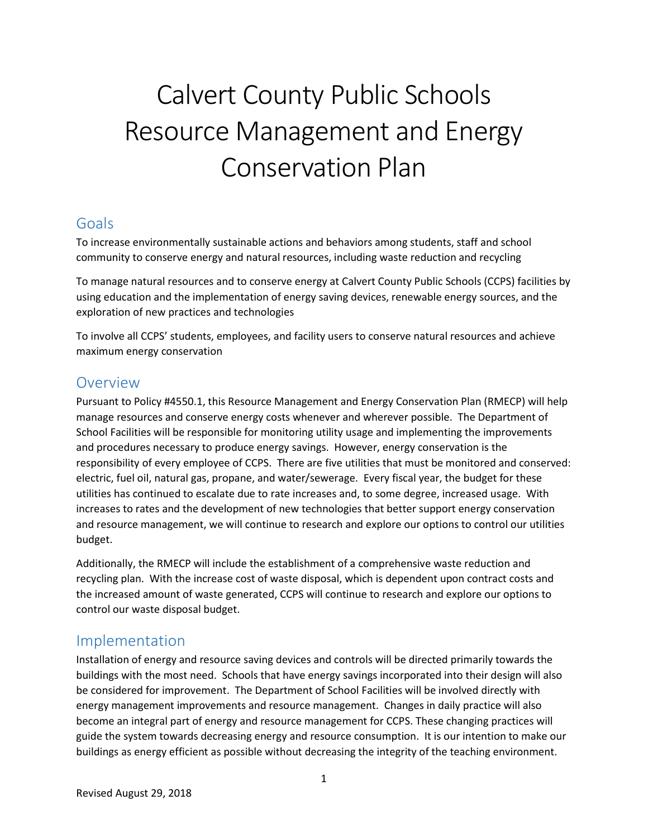# Calvert County Public Schools Resource Management and Energy Conservation Plan

# Goals

To increase environmentally sustainable actions and behaviors among students, staff and school community to conserve energy and natural resources, including waste reduction and recycling

To manage natural resources and to conserve energy at Calvert County Public Schools (CCPS) facilities by using education and the implementation of energy saving devices, renewable energy sources, and the exploration of new practices and technologies

To involve all CCPS' students, employees, and facility users to conserve natural resources and achieve maximum energy conservation

## Overview

Pursuant to Policy #4550.1, this Resource Management and Energy Conservation Plan (RMECP) will help manage resources and conserve energy costs whenever and wherever possible. The Department of School Facilities will be responsible for monitoring utility usage and implementing the improvements and procedures necessary to produce energy savings. However, energy conservation is the responsibility of every employee of CCPS. There are five utilities that must be monitored and conserved: electric, fuel oil, natural gas, propane, and water/sewerage. Every fiscal year, the budget for these utilities has continued to escalate due to rate increases and, to some degree, increased usage. With increases to rates and the development of new technologies that better support energy conservation and resource management, we will continue to research and explore our options to control our utilities budget.

Additionally, the RMECP will include the establishment of a comprehensive waste reduction and recycling plan. With the increase cost of waste disposal, which is dependent upon contract costs and the increased amount of waste generated, CCPS will continue to research and explore our options to control our waste disposal budget.

# Implementation

Installation of energy and resource saving devices and controls will be directed primarily towards the buildings with the most need. Schools that have energy savings incorporated into their design will also be considered for improvement. The Department of School Facilities will be involved directly with energy management improvements and resource management. Changes in daily practice will also become an integral part of energy and resource management for CCPS. These changing practices will guide the system towards decreasing energy and resource consumption. It is our intention to make our buildings as energy efficient as possible without decreasing the integrity of the teaching environment.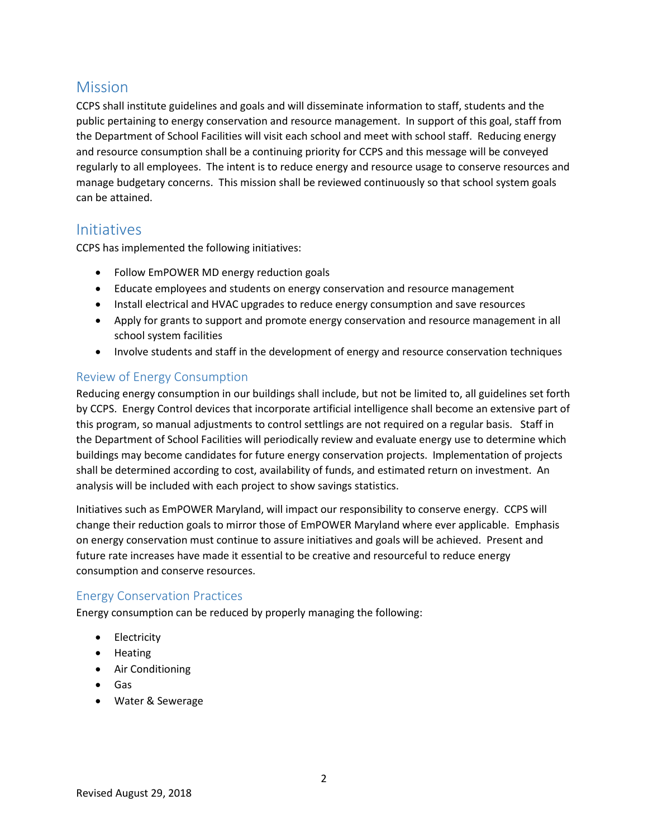# Mission

CCPS shall institute guidelines and goals and will disseminate information to staff, students and the public pertaining to energy conservation and resource management. In support of this goal, staff from the Department of School Facilities will visit each school and meet with school staff. Reducing energy and resource consumption shall be a continuing priority for CCPS and this message will be conveyed regularly to all employees. The intent is to reduce energy and resource usage to conserve resources and manage budgetary concerns. This mission shall be reviewed continuously so that school system goals can be attained.

## Initiatives

CCPS has implemented the following initiatives:

- Follow EmPOWER MD energy reduction goals
- Educate employees and students on energy conservation and resource management
- Install electrical and HVAC upgrades to reduce energy consumption and save resources
- Apply for grants to support and promote energy conservation and resource management in all school system facilities
- Involve students and staff in the development of energy and resource conservation techniques

#### Review of Energy Consumption

Reducing energy consumption in our buildings shall include, but not be limited to, all guidelines set forth by CCPS. Energy Control devices that incorporate artificial intelligence shall become an extensive part of this program, so manual adjustments to control settlings are not required on a regular basis. Staff in the Department of School Facilities will periodically review and evaluate energy use to determine which buildings may become candidates for future energy conservation projects. Implementation of projects shall be determined according to cost, availability of funds, and estimated return on investment. An analysis will be included with each project to show savings statistics.

Initiatives such as EmPOWER Maryland, will impact our responsibility to conserve energy. CCPS will change their reduction goals to mirror those of EmPOWER Maryland where ever applicable. Emphasis on energy conservation must continue to assure initiatives and goals will be achieved. Present and future rate increases have made it essential to be creative and resourceful to reduce energy consumption and conserve resources.

#### Energy Conservation Practices

Energy consumption can be reduced by properly managing the following:

- Electricity
- Heating
- Air Conditioning
- Gas
- Water & Sewerage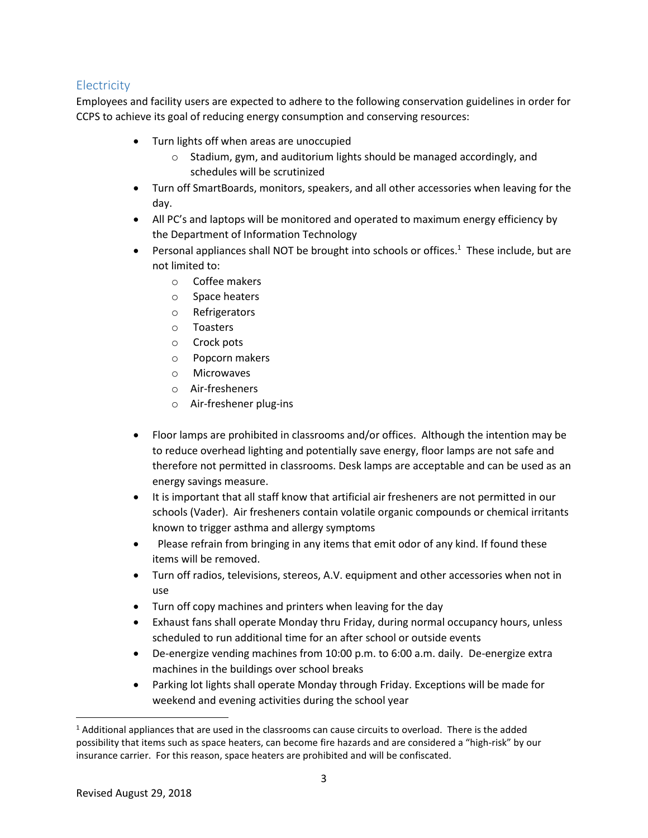#### **Electricity**

Employees and facility users are expected to adhere to the following conservation guidelines in order for CCPS to achieve its goal of reducing energy consumption and conserving resources:

- Turn lights off when areas are unoccupied
	- o Stadium, gym, and auditorium lights should be managed accordingly, and schedules will be scrutinized
- Turn off SmartBoards, monitors, speakers, and all other accessories when leaving for the day.
- All PC's and laptops will be monitored and operated to maximum energy efficiency by the Department of Information Technology
- Personal appliances shall NOT be brought into schools or offices.<sup>1</sup> These include, but are not limited to:
	- o Coffee makers
	- o Space heaters
	- o Refrigerators
	- o Toasters
	- o Crock pots
	- o Popcorn makers
	- o Microwaves
	- o Air-fresheners
	- o Air-freshener plug-ins
- Floor lamps are prohibited in classrooms and/or offices. Although the intention may be to reduce overhead lighting and potentially save energy, floor lamps are not safe and therefore not permitted in classrooms. Desk lamps are acceptable and can be used as an energy savings measure.
- It is important that all staff know that artificial air fresheners are not permitted in our schools (Vader). Air fresheners contain volatile organic compounds or chemical irritants known to trigger asthma and allergy symptoms
- Please refrain from bringing in any items that emit odor of any kind. If found these items will be removed.
- Turn off radios, televisions, stereos, A.V. equipment and other accessories when not in use
- Turn off copy machines and printers when leaving for the day
- Exhaust fans shall operate Monday thru Friday, during normal occupancy hours, unless scheduled to run additional time for an after school or outside events
- De-energize vending machines from 10:00 p.m. to 6:00 a.m. daily. De-energize extra machines in the buildings over school breaks
- Parking lot lights shall operate Monday through Friday. Exceptions will be made for weekend and evening activities during the school year

 $\overline{a}$ 

 $1$  Additional appliances that are used in the classrooms can cause circuits to overload. There is the added possibility that items such as space heaters, can become fire hazards and are considered a "high-risk" by our insurance carrier. For this reason, space heaters are prohibited and will be confiscated.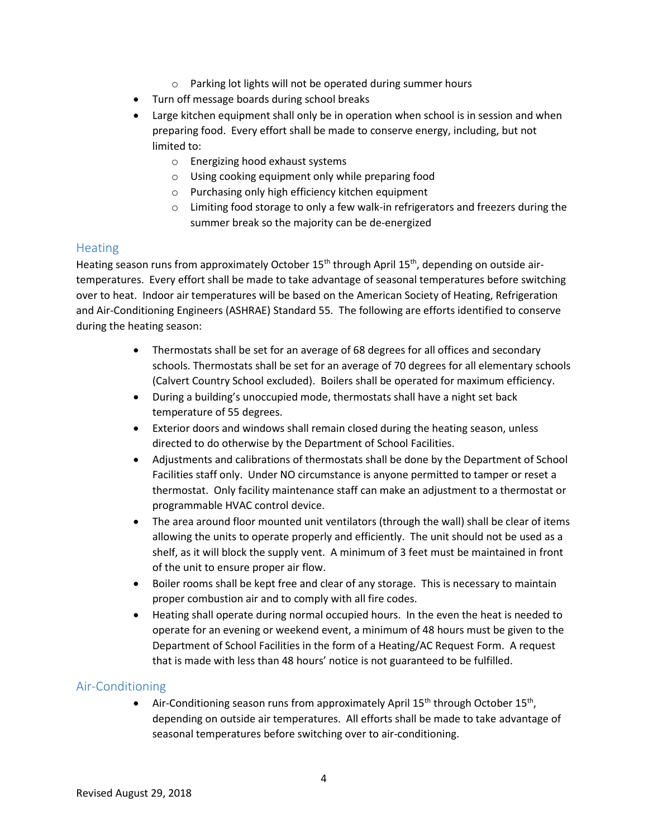- o Parking lot lights will not be operated during summer hours
- Turn off message boards during school breaks
- Large kitchen equipment shall only be in operation when school is in session and when preparing food. Every effort shall be made to conserve energy, including, but not limited to:
	- o Energizing hood exhaust systems
	- o Using cooking equipment only while preparing food
	- o Purchasing only high efficiency kitchen equipment
	- o Limiting food storage to only a few walk-in refrigerators and freezers during the summer break so the majority can be de-energized

#### **Heating**

Heating season runs from approximately October 15<sup>th</sup> through April 15<sup>th</sup>, depending on outside airtemperatures. Every effort shall be made to take advantage of seasonal temperatures before switching over to heat. Indoor air temperatures will be based on the American Society of Heating, Refrigeration and Air-Conditioning Engineers (ASHRAE) Standard 55. The following are efforts identified to conserve during the heating season:

- Thermostats shall be set for an average of 68 degrees for all offices and secondary schools. Thermostats shall be set for an average of 70 degrees for all elementary schools (Calvert Country School excluded). Boilers shall be operated for maximum efficiency.
- During a building's unoccupied mode, thermostats shall have a night set back temperature of 55 degrees.
- Exterior doors and windows shall remain closed during the heating season, unless directed to do otherwise by the Department of School Facilities.
- Adjustments and calibrations of thermostats shall be done by the Department of School Facilities staff only. Under NO circumstance is anyone permitted to tamper or reset a thermostat. Only facility maintenance staff can make an adjustment to a thermostat or programmable HVAC control device.
- The area around floor mounted unit ventilators (through the wall) shall be clear of items allowing the units to operate properly and efficiently. The unit should not be used as a shelf, as it will block the supply vent. A minimum of 3 feet must be maintained in front of the unit to ensure proper air flow.
- Boiler rooms shall be kept free and clear of any storage. This is necessary to maintain proper combustion air and to comply with all fire codes.
- Heating shall operate during normal occupied hours. In the even the heat is needed to operate for an evening or weekend event, a minimum of 48 hours must be given to the Department of School Facilities in the form of a Heating/AC Request Form. A request that is made with less than 48 hours' notice is not guaranteed to be fulfilled.

#### Air-Conditioning

• Air-Conditioning season runs from approximately April  $15<sup>th</sup>$  through October  $15<sup>th</sup>$ , depending on outside air temperatures. All efforts shall be made to take advantage of seasonal temperatures before switching over to air-conditioning.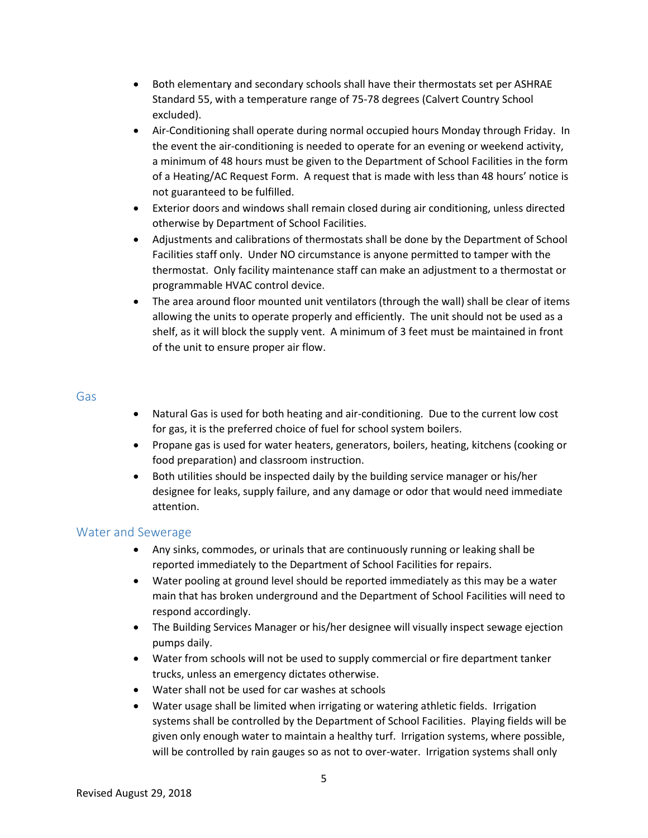- Both elementary and secondary schools shall have their thermostats set per ASHRAE Standard 55, with a temperature range of 75-78 degrees (Calvert Country School excluded).
- Air-Conditioning shall operate during normal occupied hours Monday through Friday. In the event the air-conditioning is needed to operate for an evening or weekend activity, a minimum of 48 hours must be given to the Department of School Facilities in the form of a Heating/AC Request Form. A request that is made with less than 48 hours' notice is not guaranteed to be fulfilled.
- Exterior doors and windows shall remain closed during air conditioning, unless directed otherwise by Department of School Facilities.
- Adjustments and calibrations of thermostats shall be done by the Department of School Facilities staff only. Under NO circumstance is anyone permitted to tamper with the thermostat. Only facility maintenance staff can make an adjustment to a thermostat or programmable HVAC control device.
- The area around floor mounted unit ventilators (through the wall) shall be clear of items allowing the units to operate properly and efficiently. The unit should not be used as a shelf, as it will block the supply vent. A minimum of 3 feet must be maintained in front of the unit to ensure proper air flow.

#### Gas

- Natural Gas is used for both heating and air-conditioning. Due to the current low cost for gas, it is the preferred choice of fuel for school system boilers.
- Propane gas is used for water heaters, generators, boilers, heating, kitchens (cooking or food preparation) and classroom instruction.
- Both utilities should be inspected daily by the building service manager or his/her designee for leaks, supply failure, and any damage or odor that would need immediate attention.

#### Water and Sewerage

- Any sinks, commodes, or urinals that are continuously running or leaking shall be reported immediately to the Department of School Facilities for repairs.
- Water pooling at ground level should be reported immediately as this may be a water main that has broken underground and the Department of School Facilities will need to respond accordingly.
- The Building Services Manager or his/her designee will visually inspect sewage ejection pumps daily.
- Water from schools will not be used to supply commercial or fire department tanker trucks, unless an emergency dictates otherwise.
- Water shall not be used for car washes at schools
- Water usage shall be limited when irrigating or watering athletic fields. Irrigation systems shall be controlled by the Department of School Facilities. Playing fields will be given only enough water to maintain a healthy turf. Irrigation systems, where possible, will be controlled by rain gauges so as not to over-water. Irrigation systems shall only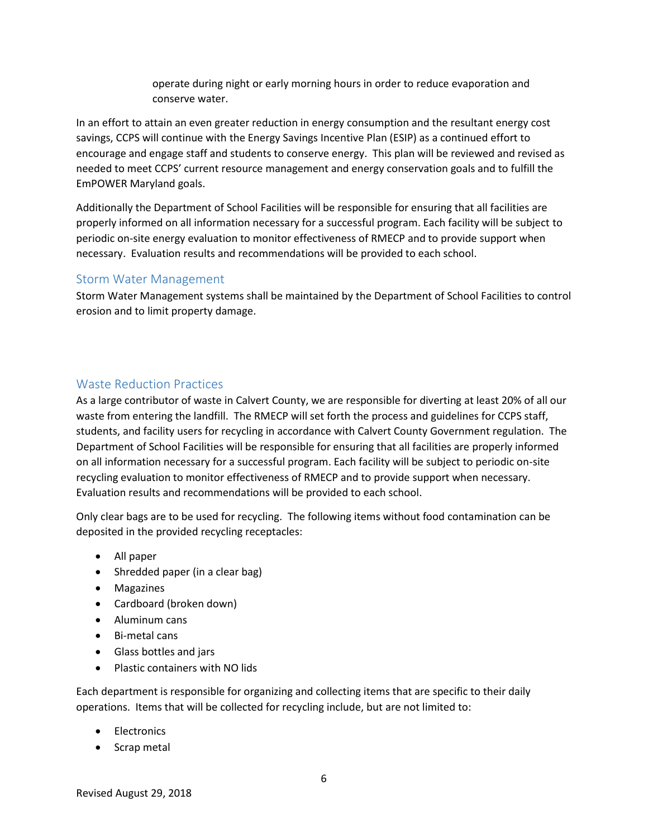operate during night or early morning hours in order to reduce evaporation and conserve water.

In an effort to attain an even greater reduction in energy consumption and the resultant energy cost savings, CCPS will continue with the Energy Savings Incentive Plan (ESIP) as a continued effort to encourage and engage staff and students to conserve energy. This plan will be reviewed and revised as needed to meet CCPS' current resource management and energy conservation goals and to fulfill the EmPOWER Maryland goals.

Additionally the Department of School Facilities will be responsible for ensuring that all facilities are properly informed on all information necessary for a successful program. Each facility will be subject to periodic on-site energy evaluation to monitor effectiveness of RMECP and to provide support when necessary. Evaluation results and recommendations will be provided to each school.

#### Storm Water Management

Storm Water Management systems shall be maintained by the Department of School Facilities to control erosion and to limit property damage.

#### Waste Reduction Practices

As a large contributor of waste in Calvert County, we are responsible for diverting at least 20% of all our waste from entering the landfill. The RMECP will set forth the process and guidelines for CCPS staff, students, and facility users for recycling in accordance with Calvert County Government regulation. The Department of School Facilities will be responsible for ensuring that all facilities are properly informed on all information necessary for a successful program. Each facility will be subject to periodic on-site recycling evaluation to monitor effectiveness of RMECP and to provide support when necessary. Evaluation results and recommendations will be provided to each school.

Only clear bags are to be used for recycling. The following items without food contamination can be deposited in the provided recycling receptacles:

- All paper
- Shredded paper (in a clear bag)
- Magazines
- Cardboard (broken down)
- Aluminum cans
- Bi-metal cans
- Glass bottles and jars
- Plastic containers with NO lids

Each department is responsible for organizing and collecting items that are specific to their daily operations. Items that will be collected for recycling include, but are not limited to:

- Electronics
- Scrap metal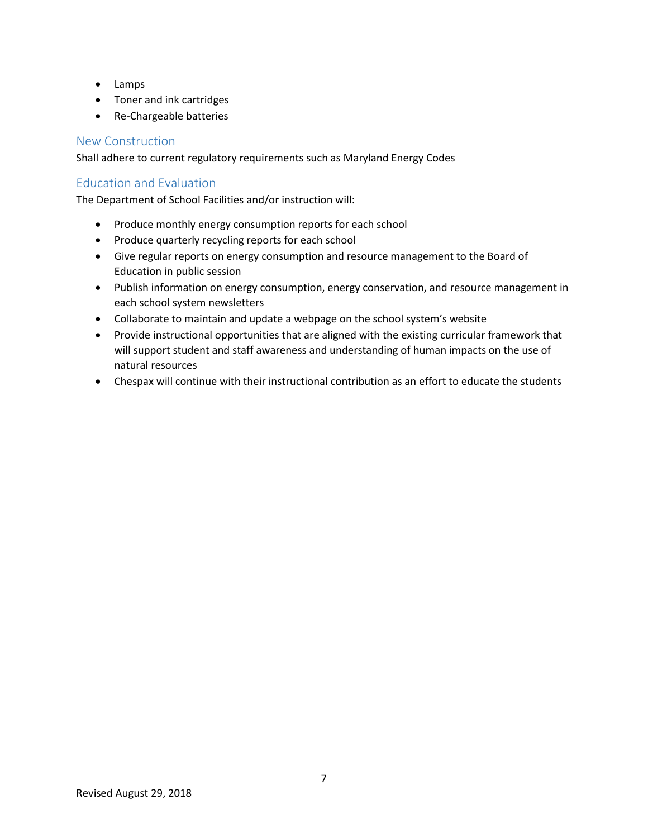- Lamps
- Toner and ink cartridges
- Re-Chargeable batteries

#### New Construction

Shall adhere to current regulatory requirements such as Maryland Energy Codes

#### Education and Evaluation

The Department of School Facilities and/or instruction will:

- Produce monthly energy consumption reports for each school
- Produce quarterly recycling reports for each school
- Give regular reports on energy consumption and resource management to the Board of Education in public session
- Publish information on energy consumption, energy conservation, and resource management in each school system newsletters
- Collaborate to maintain and update a webpage on the school system's website
- Provide instructional opportunities that are aligned with the existing curricular framework that will support student and staff awareness and understanding of human impacts on the use of natural resources
- Chespax will continue with their instructional contribution as an effort to educate the students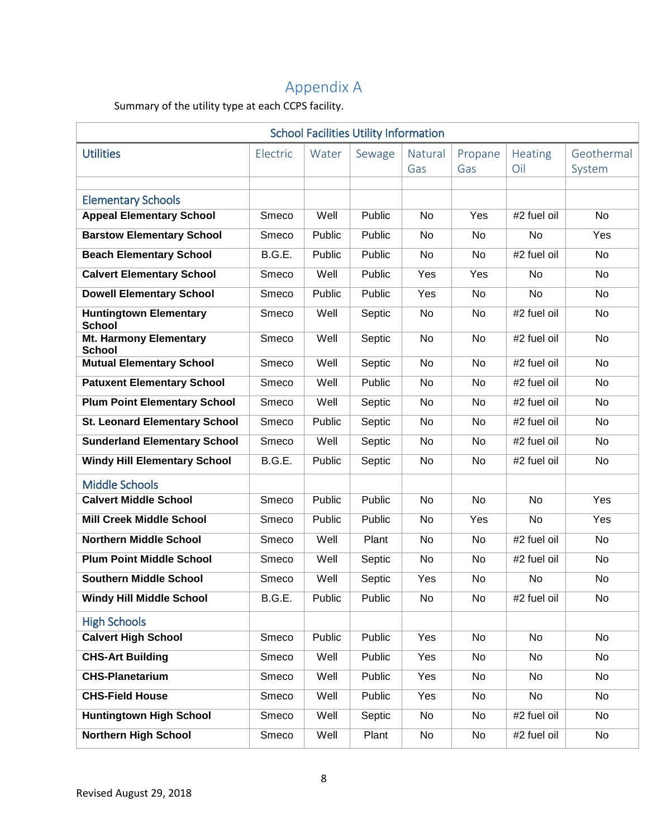# Appendix A

Summary of the utility type at each CCPS facility.

| <b>School Facilities Utility Information</b>                 |          |        |        |                |                |                       |                      |  |  |  |  |
|--------------------------------------------------------------|----------|--------|--------|----------------|----------------|-----------------------|----------------------|--|--|--|--|
| <b>Utilities</b>                                             | Electric | Water  | Sewage | Natural<br>Gas | Propane<br>Gas | <b>Heating</b><br>Oil | Geothermal<br>System |  |  |  |  |
|                                                              |          |        |        |                |                |                       |                      |  |  |  |  |
| <b>Elementary Schools</b><br><b>Appeal Elementary School</b> | Smeco    | Well   | Public | No             | Yes            | #2 fuel oil           | No                   |  |  |  |  |
| <b>Barstow Elementary School</b>                             | Smeco    | Public | Public | No             | No             | No                    | Yes                  |  |  |  |  |
| <b>Beach Elementary School</b>                               | B.G.E.   | Public | Public | No             | No             | #2 fuel oil           | No                   |  |  |  |  |
| <b>Calvert Elementary School</b>                             | Smeco    | Well   | Public | Yes            | Yes            | No                    | No                   |  |  |  |  |
| <b>Dowell Elementary School</b>                              | Smeco    | Public | Public | Yes            | <b>No</b>      | <b>No</b>             | No                   |  |  |  |  |
| <b>Huntingtown Elementary</b><br><b>School</b>               | Smeco    | Well   | Septic | No             | No             | #2 fuel oil           | No                   |  |  |  |  |
| <b>Mt. Harmony Elementary</b><br><b>School</b>               | Smeco    | Well   | Septic | <b>No</b>      | No             | #2 fuel oil           | No                   |  |  |  |  |
| <b>Mutual Elementary School</b>                              | Smeco    | Well   | Septic | No             | No             | #2 fuel oil           | <b>No</b>            |  |  |  |  |
| <b>Patuxent Elementary School</b>                            | Smeco    | Well   | Public | <b>No</b>      | No             | #2 fuel oil           | No                   |  |  |  |  |
| <b>Plum Point Elementary School</b>                          | Smeco    | Well   | Septic | No             | No             | #2 fuel oil           | No                   |  |  |  |  |
| <b>St. Leonard Elementary School</b>                         | Smeco    | Public | Septic | No             | No             | #2 fuel oil           | No                   |  |  |  |  |
| <b>Sunderland Elementary School</b>                          | Smeco    | Well   | Septic | No             | No             | #2 fuel oil           | No                   |  |  |  |  |
| <b>Windy Hill Elementary School</b>                          | B.G.E.   | Public | Septic | No             | No             | #2 fuel oil           | No                   |  |  |  |  |
| <b>Middle Schools</b>                                        |          |        |        |                |                |                       |                      |  |  |  |  |
| <b>Calvert Middle School</b>                                 | Smeco    | Public | Public | No             | No             | <b>No</b>             | Yes                  |  |  |  |  |
| <b>Mill Creek Middle School</b>                              | Smeco    | Public | Public | No             | Yes            | No                    | Yes                  |  |  |  |  |
| <b>Northern Middle School</b>                                | Smeco    | Well   | Plant  | No             | No             | #2 fuel oil           | No                   |  |  |  |  |
| <b>Plum Point Middle School</b>                              | Smeco    | Well   | Septic | No             | No             | #2 fuel oil           | No                   |  |  |  |  |
| <b>Southern Middle School</b>                                | Smeco    | Well   | Septic | Yes            | No             | No                    | No                   |  |  |  |  |
| <b>Windy Hill Middle School</b>                              | B.G.E.   | Public | Public | No             | No             | #2 fuel oil           | No                   |  |  |  |  |
| <b>High Schools</b>                                          |          |        |        |                |                |                       |                      |  |  |  |  |
| <b>Calvert High School</b>                                   | Smeco    | Public | Public | Yes            | No             | No                    | No                   |  |  |  |  |
| <b>CHS-Art Building</b>                                      | Smeco    | Well   | Public | Yes            | No             | No                    | No                   |  |  |  |  |
| <b>CHS-Planetarium</b>                                       | Smeco    | Well   | Public | Yes            | No             | No                    | No                   |  |  |  |  |
| <b>CHS-Field House</b>                                       | Smeco    | Well   | Public | Yes            | No             | No                    | No                   |  |  |  |  |
| <b>Huntingtown High School</b>                               | Smeco    | Well   | Septic | No             | No             | #2 fuel oil           | No                   |  |  |  |  |
| <b>Northern High School</b>                                  | Smeco    | Well   | Plant  | No             | No             | #2 fuel oil           | No                   |  |  |  |  |